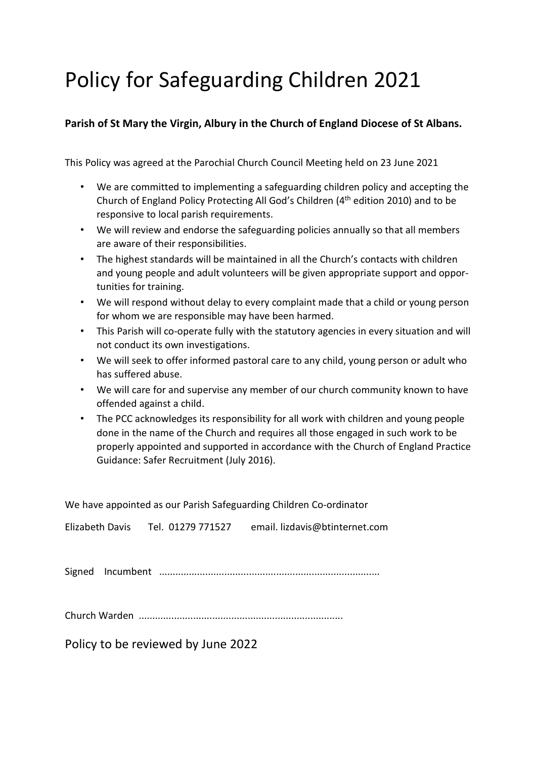# Policy for Safeguarding Children 2021

# **Parish of St Mary the Virgin, Albury in the Church of England Diocese of St Albans.**

This Policy was agreed at the Parochial Church Council Meeting held on 23 June 2021

- We are committed to implementing a safeguarding children policy and accepting the Church of England Policy Protecting All God's Children (4th edition 2010) and to be responsive to local parish requirements.
- We will review and endorse the safeguarding policies annually so that all members are aware of their responsibilities.
- The highest standards will be maintained in all the Church's contacts with children and young people and adult volunteers will be given appropriate support and opportunities for training.
- We will respond without delay to every complaint made that a child or young person for whom we are responsible may have been harmed.
- This Parish will co-operate fully with the statutory agencies in every situation and will not conduct its own investigations.
- We will seek to offer informed pastoral care to any child, young person or adult who has suffered abuse.
- We will care for and supervise any member of our church community known to have offended against a child.
- The PCC acknowledges its responsibility for all work with children and young people done in the name of the Church and requires all those engaged in such work to be properly appointed and supported in accordance with the Church of England Practice Guidance: Safer Recruitment (July 2016).

| We have appointed as our Parish Safeguarding Children Co-ordinator |  |                                                                  |
|--------------------------------------------------------------------|--|------------------------------------------------------------------|
|                                                                    |  | Elizabeth Davis Tel. 01279 771527 email. lizdavis@btinternet.com |
|                                                                    |  |                                                                  |
|                                                                    |  |                                                                  |
| Policy to be reviewed by June 2022                                 |  |                                                                  |